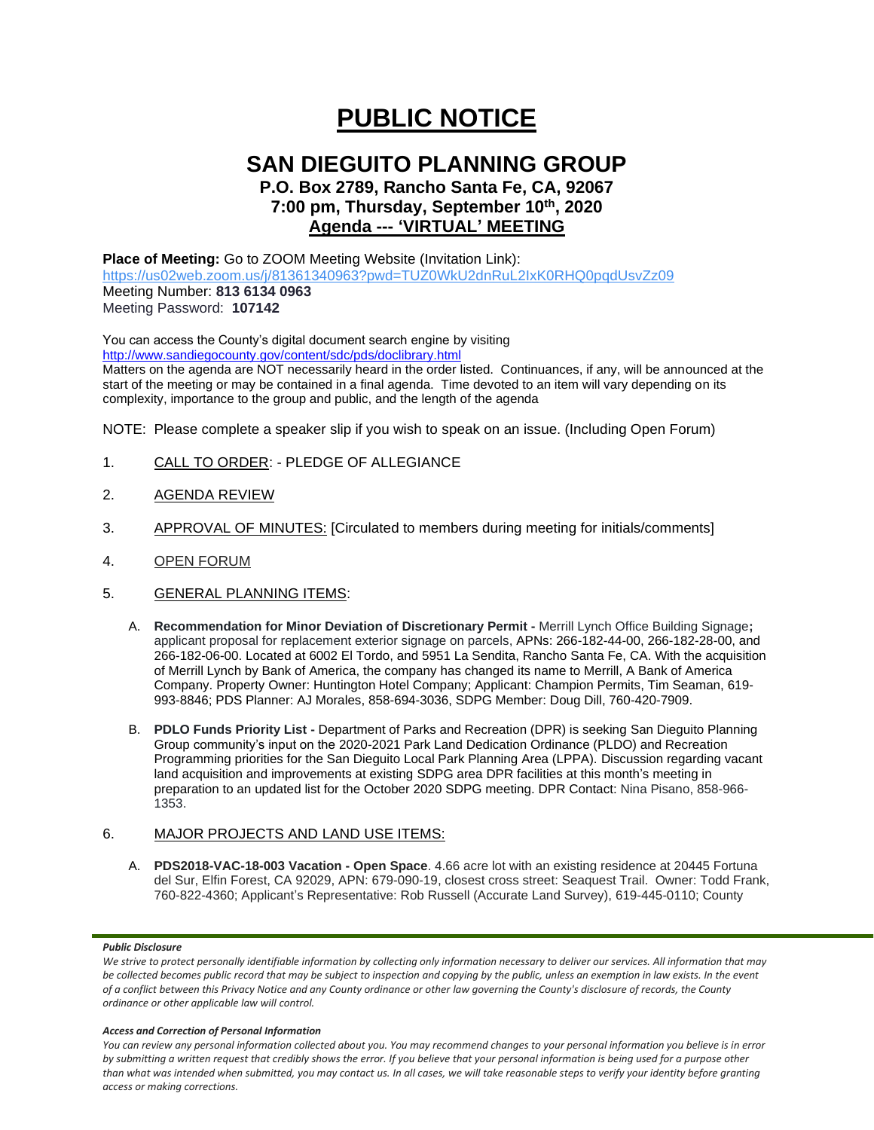# **PUBLIC NOTICE**

## **SAN DIEGUITO PLANNING GROUP**

### **P.O. Box 2789, Rancho Santa Fe, CA, 92067 7:00 pm, Thursday, September 10 th, 2020 Agenda --- 'VIRTUAL' MEETING**

#### **Place of Meeting:** Go to ZOOM Meeting Website (Invitation Link):

<https://us02web.zoom.us/j/81361340963?pwd=TUZ0WkU2dnRuL2IxK0RHQ0pqdUsvZz09> Meeting Number: **813 6134 0963** Meeting Password: **107142**

You can access the County's digital document search engine by visiting <http://www.sandiegocounty.gov/content/sdc/pds/doclibrary.html>

Matters on the agenda are NOT necessarily heard in the order listed. Continuances, if any, will be announced at the start of the meeting or may be contained in a final agenda. Time devoted to an item will vary depending on its complexity, importance to the group and public, and the length of the agenda

NOTE: Please complete a speaker slip if you wish to speak on an issue. (Including Open Forum)

- 1. CALL TO ORDER: PLEDGE OF ALLEGIANCE
- 2. AGENDA REVIEW
- 3. APPROVAL OF MINUTES: [Circulated to members during meeting for initials/comments]
- 4. OPEN FORUM
- 5. GENERAL PLANNING ITEMS:
	- A. **Recommendation for Minor Deviation of Discretionary Permit -** Merrill Lynch Office Building Signage**;** applicant proposal for replacement exterior signage on parcels, APNs: 266-182-44-00, 266-182-28-00, and 266-182-06-00. Located at 6002 El Tordo, and 5951 La Sendita, Rancho Santa Fe, CA. With the acquisition of Merrill Lynch by Bank of America, the company has changed its name to Merrill, A Bank of America Company. Property Owner: Huntington Hotel Company; Applicant: Champion Permits, Tim Seaman, 619- 993-8846; PDS Planner: AJ Morales, 858-694-3036, SDPG Member: Doug Dill, 760-420-7909.
	- B. **PDLO Funds Priority List -** Department of Parks and Recreation (DPR) is seeking San Dieguito Planning Group community's input on the 2020-2021 Park Land Dedication Ordinance (PLDO) and Recreation Programming priorities for the San Dieguito Local Park Planning Area (LPPA). Discussion regarding vacant land acquisition and improvements at existing SDPG area DPR facilities at this month's meeting in preparation to an updated list for the October 2020 SDPG meeting. DPR Contact: Nina Pisano, 858-966- 1353.

#### 6. MAJOR PROJECTS AND LAND USE ITEMS:

A. **PDS2018-VAC-18-003 Vacation - Open Space**. 4.66 acre lot with an existing residence at 20445 Fortuna del Sur, Elfin Forest, CA 92029, APN: 679-090-19, closest cross street: Seaquest Trail. Owner: Todd Frank, 760-822-4360; Applicant's Representative: Rob Russell (Accurate Land Survey), 619-445-0110; County

#### *Public Disclosure*

#### *Access and Correction of Personal Information*

*You can review any personal information collected about you. You may recommend changes to your personal information you believe is in error by submitting a written request that credibly shows the error. If you believe that your personal information is being used for a purpose other than what was intended when submitted, you may contact us. In all cases, we will take reasonable steps to verify your identity before granting access or making corrections.*

We strive to protect personally identifiable information by collecting only information necessary to deliver our services. All information that may *be collected becomes public record that may be subject to inspection and copying by the public, unless an exemption in law exists. In the event of a conflict between this Privacy Notice and any County ordinance or other law governing the County's disclosure of records, the County ordinance or other applicable law will control.*